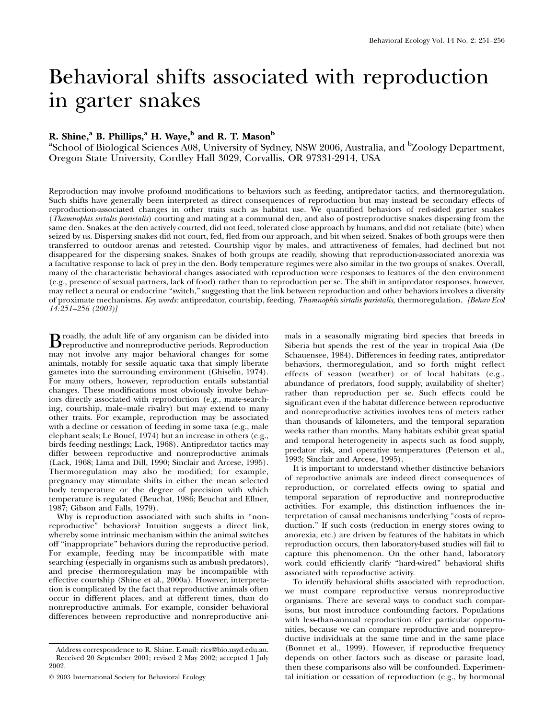# Behavioral shifts associated with reproduction in garter snakes

# R. Shine, $^a$  B. Phillips, $^a$  H. Waye, $^b$  and R. T. Mason $^b$

<sup>a</sup>School of Biological Sciences A08, University of Sydney, NSW 2006, Australia, and <sup>b</sup>Zoology Department, Oregon State University, Cordley Hall 3029, Corvallis, OR 97331-2914, USA

Reproduction may involve profound modifications to behaviors such as feeding, antipredator tactics, and thermoregulation. Such shifts have generally been interpreted as direct consequences of reproduction but may instead be secondary effects of reproduction-associated changes in other traits such as habitat use. We quantified behaviors of red-sided garter snakes (Thamnophis sirtalis parietalis) courting and mating at a communal den, and also of postreproductive snakes dispersing from the same den. Snakes at the den actively courted, did not feed, tolerated close approach by humans, and did not retaliate (bite) when seized by us. Dispersing snakes did not court, fed, fled from our approach, and bit when seized. Snakes of both groups were then transferred to outdoor arenas and retested. Courtship vigor by males, and attractiveness of females, had declined but not disappeared for the dispersing snakes. Snakes of both groups ate readily, showing that reproduction-associated anorexia was a facultative response to lack of prey in the den. Body temperature regimes were also similar in the two groups of snakes. Overall, many of the characteristic behavioral changes associated with reproduction were responses to features of the den environment (e.g., presence of sexual partners, lack of food) rather than to reproduction per se. The shift in antipredator responses, however, may reflect a neural or endocrine ''switch,'' suggesting that the link between reproduction and other behaviors involves a diversity of proximate mechanisms. Key words: antipredator, courtship, feeding, Thamnophis sirtalis parietalis, thermoregulation. [Behav Ecol 14:251–256 (2003)]

Broadly, the adult life of any organism can be divided into<br>reproductive and nonreproductive periods. Reproduction may not involve any major behavioral changes for some animals, notably for sessile aquatic taxa that simply liberate gametes into the surrounding environment (Ghiselin, 1974). For many others, however, reproduction entails substantial changes. These modifications most obviously involve behaviors directly associated with reproduction (e.g., mate-searching, courtship, male–male rivalry) but may extend to many other traits. For example, reproduction may be associated with a decline or cessation of feeding in some taxa (e.g., male elephant seals; Le Bouef, 1974) but an increase in others (e.g., birds feeding nestlings; Lack, 1968). Antipredator tactics may differ between reproductive and nonreproductive animals (Lack, 1968; Lima and Dill, 1990; Sinclair and Arcese, 1995). Thermoregulation may also be modified; for example, pregnancy may stimulate shifts in either the mean selected body temperature or the degree of precision with which temperature is regulated (Beuchat, 1986; Beuchat and Ellner, 1987; Gibson and Falls, 1979).

Why is reproduction associated with such shifts in "nonreproductive'' behaviors? Intuition suggests a direct link, whereby some intrinsic mechanism within the animal switches off ''inappropriate'' behaviors during the reproductive period. For example, feeding may be incompatible with mate searching (especially in organisms such as ambush predators), and precise thermoregulation may be incompatible with effective courtship (Shine et al., 2000a). However, interpretation is complicated by the fact that reproductive animals often occur in different places, and at different times, than do nonreproductive animals. For example, consider behavioral differences between reproductive and nonreproductive ani-

2003 International Society for Behavioral Ecology

mals in a seasonally migrating bird species that breeds in Siberia but spends the rest of the year in tropical Asia (De Schauensee, 1984). Differences in feeding rates, antipredator behaviors, thermoregulation, and so forth might reflect effects of season (weather) or of local habitats (e.g., abundance of predators, food supply, availability of shelter) rather than reproduction per se. Such effects could be significant even if the habitat difference between reproductive and nonreproductive activities involves tens of meters rather than thousands of kilometers, and the temporal separation weeks rather than months. Many habitats exhibit great spatial and temporal heterogeneity in aspects such as food supply, predator risk, and operative temperatures (Peterson et al., 1993; Sinclair and Arcese, 1995).

It is important to understand whether distinctive behaviors of reproductive animals are indeed direct consequences of reproduction, or correlated effects owing to spatial and temporal separation of reproductive and nonreproductive activities. For example, this distinction influences the interpretation of causal mechanisms underlying ''costs of reproduction.'' If such costs (reduction in energy stores owing to anorexia, etc.) are driven by features of the habitats in which reproduction occurs, then laboratory-based studies will fail to capture this phenomenon. On the other hand, laboratory work could efficiently clarify ''hard-wired'' behavioral shifts associated with reproductive activity.

To identify behavioral shifts associated with reproduction, we must compare reproductive versus nonreproductive organisms. There are several ways to conduct such comparisons, but most introduce confounding factors. Populations with less-than-annual reproduction offer particular opportunities, because we can compare reproductive and nonreproductive individuals at the same time and in the same place (Bonnet et al., 1999). However, if reproductive frequency depends on other factors such as disease or parasite load, then these comparisons also will be confounded. Experimental initiation or cessation of reproduction (e.g., by hormonal

Address correspondence to R. Shine. E-mail: rics@bio.usyd.edu.au. Received 20 September 2001; revised 2 May 2002; accepted 1 July 2002.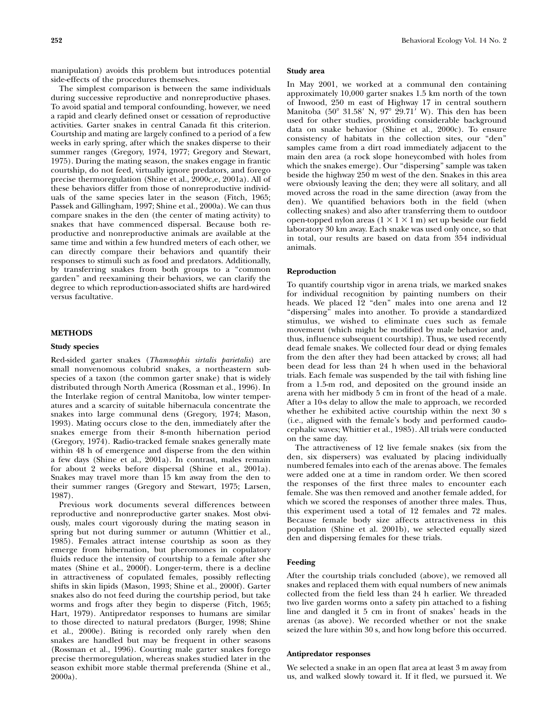manipulation) avoids this problem but introduces potential side-effects of the procedures themselves.

The simplest comparison is between the same individuals during successive reproductive and nonreproductive phases. To avoid spatial and temporal confounding, however, we need a rapid and clearly defined onset or cessation of reproductive activities. Garter snakes in central Canada fit this criterion. Courtship and mating are largely confined to a period of a few weeks in early spring, after which the snakes disperse to their summer ranges (Gregory, 1974, 1977; Gregory and Stewart, 1975). During the mating season, the snakes engage in frantic courtship, do not feed, virtually ignore predators, and forego precise thermoregulation (Shine et al., 2000c,e, 2001a). All of these behaviors differ from those of nonreproductive individuals of the same species later in the season (Fitch, 1965; Passek and Gillingham, 1997; Shine et al., 2000a). We can thus compare snakes in the den (the center of mating activity) to snakes that have commenced dispersal. Because both reproductive and nonreproductive animals are available at the same time and within a few hundred meters of each other, we can directly compare their behaviors and quantify their responses to stimuli such as food and predators. Additionally, by transferring snakes from both groups to a ''common garden'' and reexamining their behaviors, we can clarify the degree to which reproduction-associated shifts are hard-wired versus facultative.

# METHODS

#### Study species

Red-sided garter snakes (Thamnophis sirtalis parietalis) are small nonvenomous colubrid snakes, a northeastern subspecies of a taxon (the common garter snake) that is widely distributed through North America (Rossman et al., 1996). In the Interlake region of central Manitoba, low winter temperatures and a scarcity of suitable hibernacula concentrate the snakes into large communal dens (Gregory, 1974; Mason, 1993). Mating occurs close to the den, immediately after the snakes emerge from their 8-month hibernation period (Gregory, 1974). Radio-tracked female snakes generally mate within 48 h of emergence and disperse from the den within a few days (Shine et al., 2001a). In contrast, males remain for about 2 weeks before dispersal (Shine et al., 2001a). Snakes may travel more than 15 km away from the den to their summer ranges (Gregory and Stewart, 1975; Larsen, 1987).

Previous work documents several differences between reproductive and nonreproductive garter snakes. Most obviously, males court vigorously during the mating season in spring but not during summer or autumn (Whittier et al., 1985). Females attract intense courtship as soon as they emerge from hibernation, but pheromones in copulatory fluids reduce the intensity of courtship to a female after she mates (Shine et al., 2000f). Longer-term, there is a decline in attractiveness of copulated females, possibly reflecting shifts in skin lipids (Mason, 1993; Shine et al., 2000f). Garter snakes also do not feed during the courtship period, but take worms and frogs after they begin to disperse (Fitch, 1965; Hart, 1979). Antipredator responses to humans are similar to those directed to natural predators (Burger, 1998; Shine et al., 2000e). Biting is recorded only rarely when den snakes are handled but may be frequent in other seasons (Rossman et al., 1996). Courting male garter snakes forego precise thermoregulation, whereas snakes studied later in the season exhibit more stable thermal preferenda (Shine et al., 2000a).

# Study area

In May 2001, we worked at a communal den containing approximately 10,000 garter snakes 1.5 km north of the town of Inwood, 250 m east of Highway 17 in central southern Manitoba (50° 31.58′ N, 97° 29.71′ W). This den has been used for other studies, providing considerable background data on snake behavior (Shine et al., 2000c). To ensure consistency of habitats in the collection sites, our ''den'' samples came from a dirt road immediately adjacent to the main den area (a rock slope honeycombed with holes from which the snakes emerge). Our "dispersing" sample was taken beside the highway 250 m west of the den. Snakes in this area were obviously leaving the den; they were all solitary, and all moved across the road in the same direction (away from the den). We quantified behaviors both in the field (when collecting snakes) and also after transferring them to outdoor open-topped nylon areas  $(1 \times 1 \times 1$  m) set up beside our field laboratory 30 km away. Each snake was used only once, so that in total, our results are based on data from 354 individual animals.

# Reproduction

To quantify courtship vigor in arena trials, we marked snakes for individual recognition by painting numbers on their heads. We placed 12 "den" males into one arena and 12 ''dispersing'' males into another. To provide a standardized stimulus, we wished to eliminate cues such as female movement (which might be modified by male behavior and, thus, influence subsequent courtship). Thus, we used recently dead female snakes. We collected four dead or dying females from the den after they had been attacked by crows; all had been dead for less than 24 h when used in the behavioral trials. Each female was suspended by the tail with fishing line from a 1.5-m rod, and deposited on the ground inside an arena with her midbody 5 cm in front of the head of a male. After a 10-s delay to allow the male to approach, we recorded whether he exhibited active courtship within the next 30 s (i.e., aligned with the female's body and performed caudocephalic waves; Whittier et al., 1985). All trials were conducted on the same day.

The attractiveness of 12 live female snakes (six from the den, six dispersers) was evaluated by placing individually numbered females into each of the arenas above. The females were added one at a time in random order. We then scored the responses of the first three males to encounter each female. She was then removed and another female added, for which we scored the responses of another three males. Thus, this experiment used a total of 12 females and 72 males. Because female body size affects attractiveness in this population (Shine et al. 2001b), we selected equally sized den and dispersing females for these trials.

#### Feeding

After the courtship trials concluded (above), we removed all snakes and replaced them with equal numbers of new animals collected from the field less than 24 h earlier. We threaded two live garden worms onto a safety pin attached to a fishing line and dangled it 5 cm in front of snakes' heads in the arenas (as above). We recorded whether or not the snake seized the lure within 30 s, and how long before this occurred.

# Antipredator responses

We selected a snake in an open flat area at least 3 m away from us, and walked slowly toward it. If it fled, we pursued it. We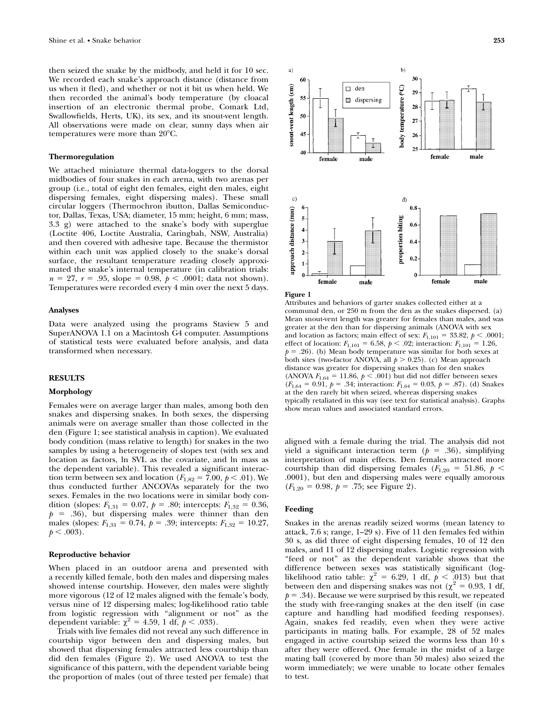then seized the snake by the midbody, and held it for 10 sec. We recorded each snake's approach distance (distance from us when it fled), and whether or not it bit us when held. We then recorded the animal's body temperature (by cloacal insertion of an electronic thermal probe, Comark Ltd, Swallowfields, Herts, UK), its sex, and its snout-vent length. All observations were made on clear, sunny days when air temperatures were more than  $20^{\circ}$ C.

#### Thermoregulation

We attached miniature thermal data-loggers to the dorsal midbodies of four snakes in each arena, with two arenas per group (i.e., total of eight den females, eight den males, eight dispersing females, eight dispersing males). These small circular loggers (Thermochron ibutton, Dallas Semiconductor, Dallas, Texas, USA; diameter, 15 mm; height, 6 mm; mass, 3.3 g) were attached to the snake's body with superglue (Loctite 406, Loctite Australia, Caringbah, NSW, Australia) and then covered with adhesive tape. Because the thermistor within each unit was applied closely to the snake's dorsal surface, the resultant temperature reading closely approximated the snake's internal temperature (in calibration trials:  $n = 27$ ,  $r = .95$ , slope = 0.98,  $p < .0001$ ; data not shown). Temperatures were recorded every 4 min over the next 5 days.

#### Analyses

Data were analyzed using the programs Staview 5 and SuperANOVA 1.1 on a Macintosh G4 computer. Assumptions of statistical tests were evaluated before analysis, and data transformed when necessary.

# **RESULTS**

#### Morphology

Females were on average larger than males, among both den snakes and dispersing snakes. In both sexes, the dispersing animals were on average smaller than those collected in the den (Figure 1; see statistical analysis in caption). We evaluated body condition (mass relative to length) for snakes in the two samples by using a heterogeneity of slopes test (with sex and location as factors, ln SVL as the covariate, and ln mass as the dependent variable). This revealed a significant interaction term between sex and location ( $F_{1,82} = 7.00, p < .01$ ). We thus conducted further ANCOVAs separately for the two sexes. Females in the two locations were in similar body condition (slopes:  $F_{1,31} = 0.07$ ,  $p = .80$ ; intercepts:  $F_{1,32} = 0.36$ ,  $p = .36$ , but dispersing males were thinner than den males (slopes:  $F_{1,31} = 0.74$ ,  $p = .39$ ; intercepts:  $F_{1,32} = 10.27$ ,  $p < .003$ ).

#### Reproductive behavior

When placed in an outdoor arena and presented with a recently killed female, both den males and dispersing males showed intense courtship. However, den males were slightly more vigorous (12 of 12 males aligned with the female's body, versus nine of 12 dispersing males; log-likelihood ratio table from logistic regression with ''alignment or not'' as the dependent variable:  $\chi^2 = 4.59$ , 1 df,  $p < .033$ ).

Trials with live females did not reveal any such difference in courtship vigor between den and dispersing males, but showed that dispersing females attracted less courtship than did den females (Figure 2). We used ANOVA to test the significance of this pattern, with the dependent variable being the proportion of males (out of three tested per female) that



### Figure 1

Attributes and behaviors of garter snakes collected either at a communal den, or 250 m from the den as the snakes dispersed. (a) Mean snout-vent length was greater for females than males, and was greater at the den than for dispersing animals (ANOVA with sex and location as factors; main effect of sex:  $F_{1,101} = 33.82, p < .0001;$ effect of location:  $F_{1,101} = 6.58, p < .02$ ; interaction:  $F_{1,101} = 1.26$ ,  $p = .26$ ). (b) Mean body temperature was similar for both sexes at both sites (two-factor ANOVA, all  $p > 0.25$ ). (c) Mean approach distance was greater for dispersing snakes than for den snakes (ANOVA  $F_{1,64} = 11.86$ ,  $p < .001$ ) but did not differ between sexes  $(F_{1,64} = 0.91, p = .34;$  interaction:  $F_{1,64} = 0.03, p = .87$ . (d) Snakes at the den rarely bit when seized, whereas dispersing snakes typically retaliated in this way (see text for statistical analysis). Graphs show mean values and associated standard errors.

aligned with a female during the trial. The analysis did not yield a significant interaction term ( $p = .36$ ), simplifying interpretation of main effects. Den females attracted more courtship than did dispersing females ( $F_{1,20} = 51.86, p <$ .0001), but den and dispersing males were equally amorous  $(F_{1,20} = 0.98, p = .75;$  see Figure 2).

# Feeding

Snakes in the arenas readily seized worms (mean latency to attack, 7.6 s; range, 1–29 s). Five of 11 den females fed within 30 s, as did three of eight dispersing females, 10 of 12 den males, and 11 of 12 dispersing males. Logistic regression with "feed or not" as the dependent variable shows that the difference between sexes was statistically significant (loglikelihood ratio table:  $\chi^2 = 6.29$ , 1 df,  $p < .013$ ) but that between den and dispersing snakes was not ( $\chi^2 = 0.93$ , 1 df,  $p = .34$ ). Because we were surprised by this result, we repeated the study with free-ranging snakes at the den itself (in case capture and handling had modified feeding responses). Again, snakes fed readily, even when they were active participants in mating balls. For example, 28 of 52 males engaged in active courtship seized the worms less than 10 s after they were offered. One female in the midst of a large mating ball (covered by more than 50 males) also seized the worm immediately; we were unable to locate other females to test.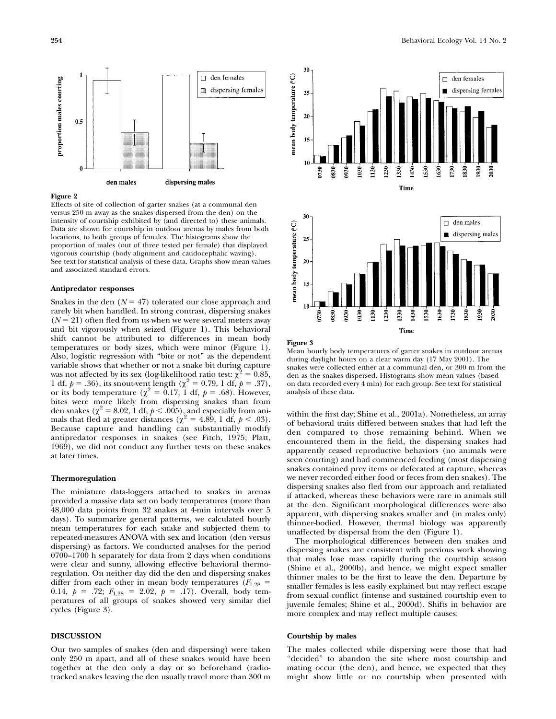

#### Figure 2

Effects of site of collection of garter snakes (at a communal den versus 250 m away as the snakes dispersed from the den) on the intensity of courtship exhibited by (and directed to) these animals. Data are shown for courtship in outdoor arenas by males from both locations, to both groups of females. The histograms show the proportion of males (out of three tested per female) that displayed vigorous courtship (body alignment and caudocephalic waving). See text for statistical analysis of these data. Graphs show mean values and associated standard errors.

#### Antipredator responses

Snakes in the den  $(N = 47)$  tolerated our close approach and rarely bit when handled. In strong contrast, dispersing snakes  $(N = 21)$  often fled from us when we were several meters away and bit vigorously when seized (Figure 1). This behavioral shift cannot be attributed to differences in mean body temperatures or body sizes, which were minor (Figure 1). Also, logistic regression with ''bite or not'' as the dependent variable shows that whether or not a snake bit during capture was not affected by its sex (log-likelihood ratio test:  $\chi^2 = 0.85$ , 1 df,  $p = .36$ ), its snout-vent length ( $\chi^2 = 0.79$ , 1 df,  $p = .37$ ), or its body temperature ( $\chi^2 = 0.17$ , 1 df,  $p = .68$ ). However, bites were more likely from dispersing snakes than from den snakes ( $\chi^2 = 8.02$ , 1 df,  $p < .005$ ), and especially from animals that fled at greater distances ( $\chi^2 = 4.89$ , 1 df,  $p < .03$ ). Because capture and handling can substantially modify antipredator responses in snakes (see Fitch, 1975; Platt, 1969), we did not conduct any further tests on these snakes at later times.

# Thermoregulation

The miniature data-loggers attached to snakes in arenas provided a massive data set on body temperatures (more than 48,000 data points from 32 snakes at 4-min intervals over 5 days). To summarize general patterns, we calculated hourly mean temperatures for each snake and subjected them to repeated-measures ANOVA with sex and location (den versus dispersing) as factors. We conducted analyses for the period 0700–1700 h separately for data from 2 days when conditions were clear and sunny, allowing effective behavioral thermoregulation. On neither day did the den and dispersing snakes differ from each other in mean body temperatures  $(F_{1,28} =$ 0.14,  $p = .72$ ;  $F_{1,28} = 2.02$ ,  $p = .17$ ). Overall, body temperatures of all groups of snakes showed very similar diel cycles (Figure 3).

# DISCUSSION

Our two samples of snakes (den and dispersing) were taken only 250 m apart, and all of these snakes would have been together at the den only a day or so beforehand (radiotracked snakes leaving the den usually travel more than 300 m





Figure 3

Mean hourly body temperatures of garter snakes in outdoor arenas during daylight hours on a clear warm day (17 May 2001). The snakes were collected either at a communal den, or 300 m from the den as the snakes dispersed. Histograms show mean values (based on data recorded every 4 min) for each group. See text for statistical analysis of these data.

within the first day; Shine et al., 2001a). Nonetheless, an array of behavioral traits differed between snakes that had left the den compared to those remaining behind. When we encountered them in the field, the dispersing snakes had apparently ceased reproductive behaviors (no animals were seen courting) and had commenced feeding (most dispersing snakes contained prey items or defecated at capture, whereas we never recorded either food or feces from den snakes). The dispersing snakes also fled from our approach and retaliated if attacked, whereas these behaviors were rare in animals still at the den. Significant morphological differences were also apparent, with dispersing snakes smaller and (in males only) thinner-bodied. However, thermal biology was apparently unaffected by dispersal from the den (Figure 1).

The morphological differences between den snakes and dispersing snakes are consistent with previous work showing that males lose mass rapidly during the courtship season (Shine et al., 2000b), and hence, we might expect smaller thinner males to be the first to leave the den. Departure by smaller females is less easily explained but may reflect escape from sexual conflict (intense and sustained courtship even to juvenile females; Shine et al., 2000d). Shifts in behavior are more complex and may reflect multiple causes:

#### Courtship by males

The males collected while dispersing were those that had "decided" to abandon the site where most courtship and mating occur (the den), and hence, we expected that they might show little or no courtship when presented with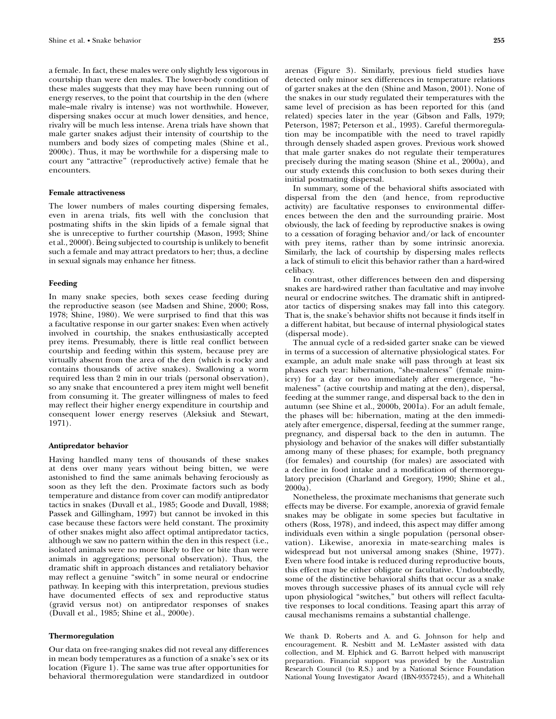a female. In fact, these males were only slightly less vigorous in courtship than were den males. The lower-body condition of these males suggests that they may have been running out of energy reserves, to the point that courtship in the den (where male–male rivalry is intense) was not worthwhile. However, dispersing snakes occur at much lower densities, and hence, rivalry will be much less intense. Arena trials have shown that male garter snakes adjust their intensity of courtship to the numbers and body sizes of competing males (Shine et al., 2000c). Thus, it may be worthwhile for a dispersing male to court any ''attractive'' (reproductively active) female that he encounters.

# Female attractiveness

The lower numbers of males courting dispersing females, even in arena trials, fits well with the conclusion that postmating shifts in the skin lipids of a female signal that she is unreceptive to further courtship (Mason, 1993; Shine et al., 2000f). Being subjected to courtship is unlikely to benefit such a female and may attract predators to her; thus, a decline in sexual signals may enhance her fitness.

# Feeding

In many snake species, both sexes cease feeding during the reproductive season (see Madsen and Shine, 2000; Ross, 1978; Shine, 1980). We were surprised to find that this was a facultative response in our garter snakes: Even when actively involved in courtship, the snakes enthusiastically accepted prey items. Presumably, there is little real conflict between courtship and feeding within this system, because prey are virtually absent from the area of the den (which is rocky and contains thousands of active snakes). Swallowing a worm required less than 2 min in our trials (personal observation), so any snake that encountered a prey item might well benefit from consuming it. The greater willingness of males to feed may reflect their higher energy expenditure in courtship and consequent lower energy reserves (Aleksiuk and Stewart, 1971).

#### Antipredator behavior

Having handled many tens of thousands of these snakes at dens over many years without being bitten, we were astonished to find the same animals behaving ferociously as soon as they left the den. Proximate factors such as body temperature and distance from cover can modify antipredator tactics in snakes (Duvall et al., 1985; Goode and Duvall, 1988; Passek and Gillingham, 1997) but cannot be invoked in this case because these factors were held constant. The proximity of other snakes might also affect optimal antipredator tactics, although we saw no pattern within the den in this respect (i.e., isolated animals were no more likely to flee or bite than were animals in aggregations; personal observation). Thus, the dramatic shift in approach distances and retaliatory behavior may reflect a genuine ''switch'' in some neural or endocrine pathway. In keeping with this interpretation, previous studies have documented effects of sex and reproductive status (gravid versus not) on antipredator responses of snakes (Duvall et al., 1985; Shine et al., 2000e).

#### Thermoregulation

Our data on free-ranging snakes did not reveal any differences in mean body temperatures as a function of a snake's sex or its location (Figure 1). The same was true after opportunities for behavioral thermoregulation were standardized in outdoor

arenas (Figure 3). Similarly, previous field studies have detected only minor sex differences in temperature relations of garter snakes at the den (Shine and Mason, 2001). None of the snakes in our study regulated their temperatures with the same level of precision as has been reported for this (and related) species later in the year (Gibson and Falls, 1979; Peterson, 1987; Peterson et al., 1993). Careful thermoregulation may be incompatible with the need to travel rapidly through densely shaded aspen groves. Previous work showed that male garter snakes do not regulate their temperatures precisely during the mating season (Shine et al., 2000a), and our study extends this conclusion to both sexes during their initial postmating dispersal.

In summary, some of the behavioral shifts associated with dispersal from the den (and hence, from reproductive activity) are facultative responses to environmental differences between the den and the surrounding prairie. Most obviously, the lack of feeding by reproductive snakes is owing to a cessation of foraging behavior and/or lack of encounter with prey items, rather than by some intrinsic anorexia. Similarly, the lack of courtship by dispersing males reflects a lack of stimuli to elicit this behavior rather than a hard-wired celibacy.

In contrast, other differences between den and dispersing snakes are hard-wired rather than facultative and may involve neural or endocrine switches. The dramatic shift in antipredator tactics of dispersing snakes may fall into this category. That is, the snake's behavior shifts not because it finds itself in a different habitat, but because of internal physiological states (dispersal mode).

The annual cycle of a red-sided garter snake can be viewed in terms of a succession of alternative physiological states. For example, an adult male snake will pass through at least six phases each year: hibernation, ''she-maleness'' (female mimicry) for a day or two immediately after emergence, ''hemaleness'' (active courtship and mating at the den), dispersal, feeding at the summer range, and dispersal back to the den in autumn (see Shine et al., 2000b, 2001a). For an adult female, the phases will be: hibernation, mating at the den immediately after emergence, dispersal, feeding at the summer range, pregnancy, and dispersal back to the den in autumn. The physiology and behavior of the snakes will differ substantially among many of these phases; for example, both pregnancy (for females) and courtship (for males) are associated with a decline in food intake and a modification of thermoregulatory precision (Charland and Gregory, 1990; Shine et al., 2000a).

Nonetheless, the proximate mechanisms that generate such effects may be diverse. For example, anorexia of gravid female snakes may be obligate in some species but facultative in others (Ross, 1978), and indeed, this aspect may differ among individuals even within a single population (personal observation). Likewise, anorexia in mate-searching males is widespread but not universal among snakes (Shine, 1977). Even where food intake is reduced during reproductive bouts, this effect may be either obligate or facultative. Undoubtedly, some of the distinctive behavioral shifts that occur as a snake moves through successive phases of its annual cycle will rely upon physiological ''switches,'' but others will reflect facultative responses to local conditions. Teasing apart this array of causal mechanisms remains a substantial challenge.

We thank D. Roberts and A. and G. Johnson for help and encouragement. R. Nesbitt and M. LeMaster assisted with data collection, and M. Elphick and G. Barrott helped with manuscript preparation. Financial support was provided by the Australian Research Council (to R.S.) and by a National Science Foundation National Young Investigator Award (IBN-9357245), and a Whitehall